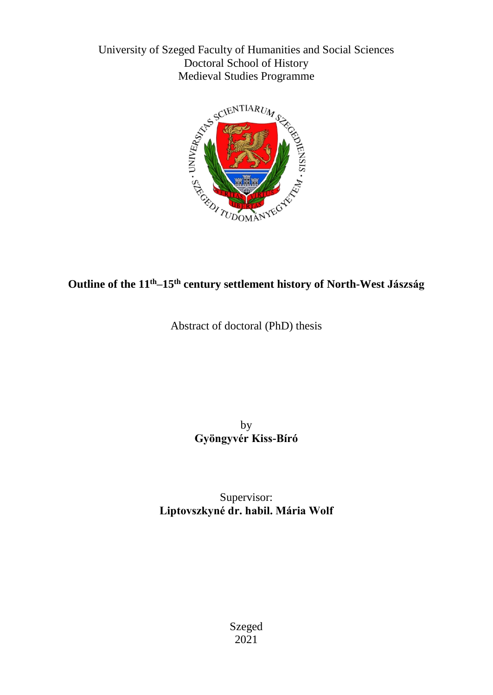University of Szeged Faculty of Humanities and Social Sciences Doctoral School of History Medieval Studies Programme



# **Outline of the 11th–15th century settlement history of North-West Jászság**

Abstract of doctoral (PhD) thesis

by **Gyöngyvér Kiss-Bíró**

Supervisor: **Liptovszkyné dr. habil. Mária Wolf**

> Szeged 2021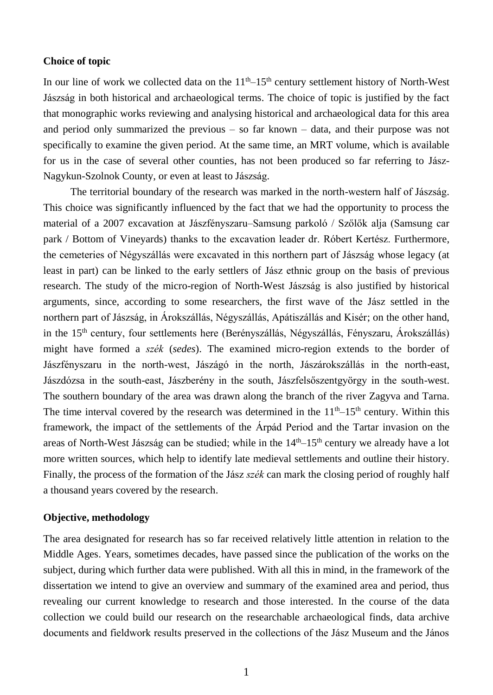### **Choice of topic**

In our line of work we collected data on the  $11<sup>th</sup>-15<sup>th</sup>$  century settlement history of North-West Jászság in both historical and archaeological terms. The choice of topic is justified by the fact that monographic works reviewing and analysing historical and archaeological data for this area and period only summarized the previous – so far known – data, and their purpose was not specifically to examine the given period. At the same time, an MRT volume, which is available for us in the case of several other counties, has not been produced so far referring to Jász-Nagykun-Szolnok County, or even at least to Jászság.

The territorial boundary of the research was marked in the north-western half of Jászság. This choice was significantly influenced by the fact that we had the opportunity to process the material of a 2007 excavation at Jászfényszaru–Samsung parkoló / Szőlők alja (Samsung car park / Bottom of Vineyards) thanks to the excavation leader dr. Róbert Kertész. Furthermore, the cemeteries of Négyszállás were excavated in this northern part of Jászság whose legacy (at least in part) can be linked to the early settlers of Jász ethnic group on the basis of previous research. The study of the micro-region of North-West Jászság is also justified by historical arguments, since, according to some researchers, the first wave of the Jász settled in the northern part of Jászság, in Árokszállás, Négyszállás, Apátiszállás and Kisér; on the other hand, in the 15th century, four settlements here (Berényszállás, Négyszállás, Fényszaru, Árokszállás) might have formed a *szék* (*sedes*). The examined micro-region extends to the border of Jászfényszaru in the north-west, Jászágó in the north, Jászárokszállás in the north-east, Jászdózsa in the south-east, Jászberény in the south, Jászfelsőszentgyörgy in the south-west. The southern boundary of the area was drawn along the branch of the river Zagyva and Tarna. The time interval covered by the research was determined in the  $11<sup>th</sup>-15<sup>th</sup>$  century. Within this framework, the impact of the settlements of the Árpád Period and the Tartar invasion on the areas of North-West Jászság can be studied; while in the 14<sup>th</sup>–15<sup>th</sup> century we already have a lot more written sources, which help to identify late medieval settlements and outline their history. Finally, the process of the formation of the Jász *szék* can mark the closing period of roughly half a thousand years covered by the research.

## **Objective, methodology**

The area designated for research has so far received relatively little attention in relation to the Middle Ages. Years, sometimes decades, have passed since the publication of the works on the subject, during which further data were published. With all this in mind, in the framework of the dissertation we intend to give an overview and summary of the examined area and period, thus revealing our current knowledge to research and those interested. In the course of the data collection we could build our research on the researchable archaeological finds, data archive documents and fieldwork results preserved in the collections of the Jász Museum and the János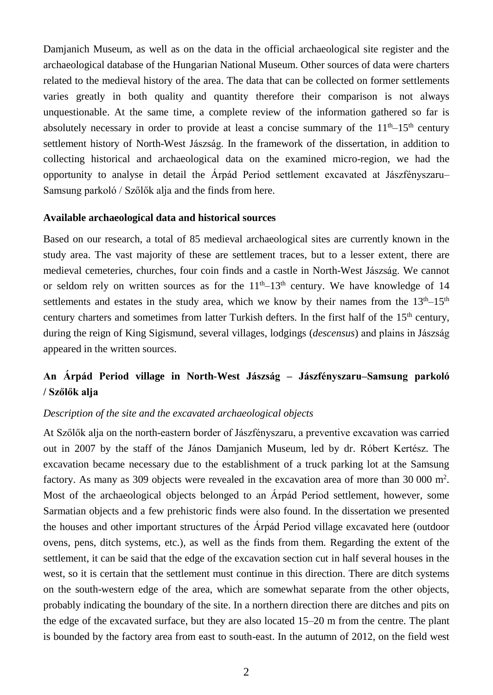Damjanich Museum, as well as on the data in the official archaeological site register and the archaeological database of the Hungarian National Museum. Other sources of data were charters related to the medieval history of the area. The data that can be collected on former settlements varies greatly in both quality and quantity therefore their comparison is not always unquestionable. At the same time, a complete review of the information gathered so far is absolutely necessary in order to provide at least a concise summary of the  $11<sup>th</sup>-15<sup>th</sup>$  century settlement history of North-West Jászság. In the framework of the dissertation, in addition to collecting historical and archaeological data on the examined micro-region, we had the opportunity to analyse in detail the Árpád Period settlement excavated at Jászfényszaru– Samsung parkoló / Szőlők alja and the finds from here.

### **Available archaeological data and historical sources**

Based on our research, a total of 85 medieval archaeological sites are currently known in the study area. The vast majority of these are settlement traces, but to a lesser extent, there are medieval cemeteries, churches, four coin finds and a castle in North-West Jászság. We cannot or seldom rely on written sources as for the  $11<sup>th</sup>-13<sup>th</sup>$  century. We have knowledge of 14 settlements and estates in the study area, which we know by their names from the  $13<sup>th</sup>-15<sup>th</sup>$ century charters and sometimes from latter Turkish defters. In the first half of the  $15<sup>th</sup>$  century, during the reign of King Sigismund, several villages, lodgings (*descensus*) and plains in Jászság appeared in the written sources.

## **An Árpád Period village in North-West Jászság – Jászfényszaru–Samsung parkoló / Szőlők alja**

## *Description of the site and the excavated archaeological objects*

At Szőlők alja on the north-eastern border of Jászfényszaru, a preventive excavation was carried out in 2007 by the staff of the János Damjanich Museum, led by dr. Róbert Kertész. The excavation became necessary due to the establishment of a truck parking lot at the Samsung factory. As many as 309 objects were revealed in the excavation area of more than 30 000 m<sup>2</sup>. Most of the archaeological objects belonged to an Árpád Period settlement, however, some Sarmatian objects and a few prehistoric finds were also found. In the dissertation we presented the houses and other important structures of the Árpád Period village excavated here (outdoor ovens, pens, ditch systems, etc.), as well as the finds from them. Regarding the extent of the settlement, it can be said that the edge of the excavation section cut in half several houses in the west, so it is certain that the settlement must continue in this direction. There are ditch systems on the south-western edge of the area, which are somewhat separate from the other objects, probably indicating the boundary of the site. In a northern direction there are ditches and pits on the edge of the excavated surface, but they are also located 15–20 m from the centre. The plant is bounded by the factory area from east to south-east. In the autumn of 2012, on the field west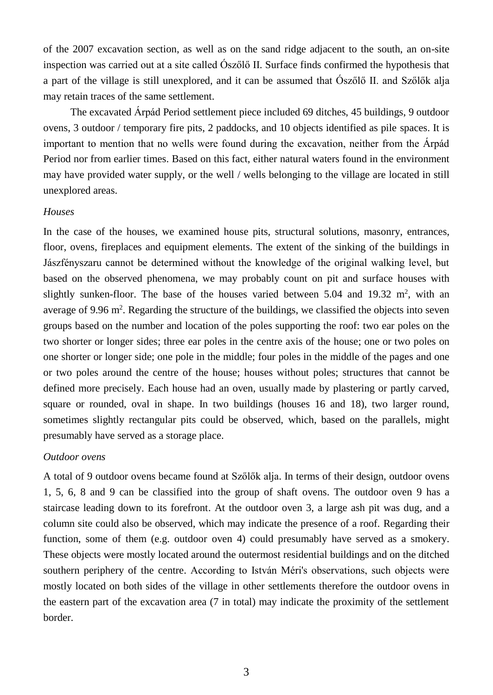of the 2007 excavation section, as well as on the sand ridge adjacent to the south, an on-site inspection was carried out at a site called Ószőlő II. Surface finds confirmed the hypothesis that a part of the village is still unexplored, and it can be assumed that Ószőlő II. and Szőlők alja may retain traces of the same settlement.

The excavated Árpád Period settlement piece included 69 ditches, 45 buildings, 9 outdoor ovens, 3 outdoor / temporary fire pits, 2 paddocks, and 10 objects identified as pile spaces. It is important to mention that no wells were found during the excavation, neither from the Árpád Period nor from earlier times. Based on this fact, either natural waters found in the environment may have provided water supply, or the well / wells belonging to the village are located in still unexplored areas.

## *Houses*

In the case of the houses, we examined house pits, structural solutions, masonry, entrances, floor, ovens, fireplaces and equipment elements. The extent of the sinking of the buildings in Jászfényszaru cannot be determined without the knowledge of the original walking level, but based on the observed phenomena, we may probably count on pit and surface houses with slightly sunken-floor. The base of the houses varied between  $5.04$  and  $19.32$  m<sup>2</sup>, with an average of 9.96  $m^2$ . Regarding the structure of the buildings, we classified the objects into seven groups based on the number and location of the poles supporting the roof: two ear poles on the two shorter or longer sides; three ear poles in the centre axis of the house; one or two poles on one shorter or longer side; one pole in the middle; four poles in the middle of the pages and one or two poles around the centre of the house; houses without poles; structures that cannot be defined more precisely. Each house had an oven, usually made by plastering or partly carved, square or rounded, oval in shape. In two buildings (houses 16 and 18), two larger round, sometimes slightly rectangular pits could be observed, which, based on the parallels, might presumably have served as a storage place.

## *Outdoor ovens*

A total of 9 outdoor ovens became found at Szőlők alja. In terms of their design, outdoor ovens 1, 5, 6, 8 and 9 can be classified into the group of shaft ovens. The outdoor oven 9 has a staircase leading down to its forefront. At the outdoor oven 3, a large ash pit was dug, and a column site could also be observed, which may indicate the presence of a roof. Regarding their function, some of them (e.g. outdoor oven 4) could presumably have served as a smokery. These objects were mostly located around the outermost residential buildings and on the ditched southern periphery of the centre. According to István Méri's observations, such objects were mostly located on both sides of the village in other settlements therefore the outdoor ovens in the eastern part of the excavation area (7 in total) may indicate the proximity of the settlement border.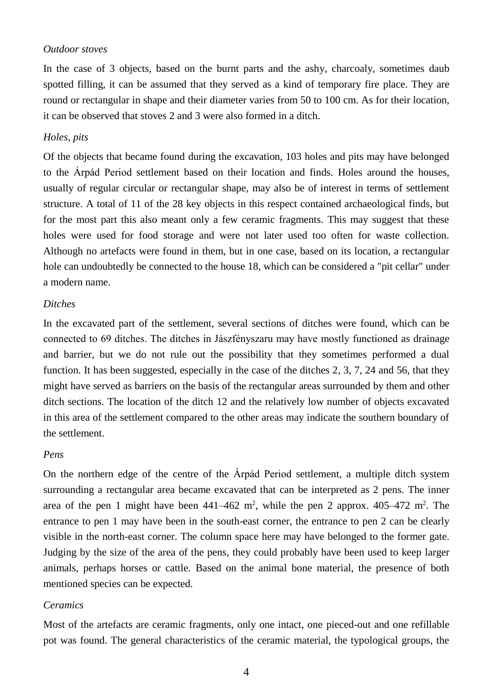### *Outdoor stoves*

In the case of 3 objects, based on the burnt parts and the ashy, charcoaly, sometimes daub spotted filling, it can be assumed that they served as a kind of temporary fire place. They are round or rectangular in shape and their diameter varies from 50 to 100 cm. As for their location, it can be observed that stoves 2 and 3 were also formed in a ditch.

## *Holes, pits*

Of the objects that became found during the excavation, 103 holes and pits may have belonged to the Árpád Period settlement based on their location and finds. Holes around the houses, usually of regular circular or rectangular shape, may also be of interest in terms of settlement structure. A total of 11 of the 28 key objects in this respect contained archaeological finds, but for the most part this also meant only a few ceramic fragments. This may suggest that these holes were used for food storage and were not later used too often for waste collection. Although no artefacts were found in them, but in one case, based on its location, a rectangular hole can undoubtedly be connected to the house 18, which can be considered a "pit cellar" under a modern name.

#### *Ditches*

In the excavated part of the settlement, several sections of ditches were found, which can be connected to 69 ditches. The ditches in Jászfényszaru may have mostly functioned as drainage and barrier, but we do not rule out the possibility that they sometimes performed a dual function. It has been suggested, especially in the case of the ditches 2, 3, 7, 24 and 56, that they might have served as barriers on the basis of the rectangular areas surrounded by them and other ditch sections. The location of the ditch 12 and the relatively low number of objects excavated in this area of the settlement compared to the other areas may indicate the southern boundary of the settlement.

### *Pens*

On the northern edge of the centre of the Árpád Period settlement, a multiple ditch system surrounding a rectangular area became excavated that can be interpreted as 2 pens. The inner area of the pen 1 might have been  $441-462$  m<sup>2</sup>, while the pen 2 approx.  $405-472$  m<sup>2</sup>. The entrance to pen 1 may have been in the south-east corner, the entrance to pen 2 can be clearly visible in the north-east corner. The column space here may have belonged to the former gate. Judging by the size of the area of the pens, they could probably have been used to keep larger animals, perhaps horses or cattle. Based on the animal bone material, the presence of both mentioned species can be expected.

## *Ceramics*

Most of the artefacts are ceramic fragments, only one intact, one pieced-out and one refillable pot was found. The general characteristics of the ceramic material, the typological groups, the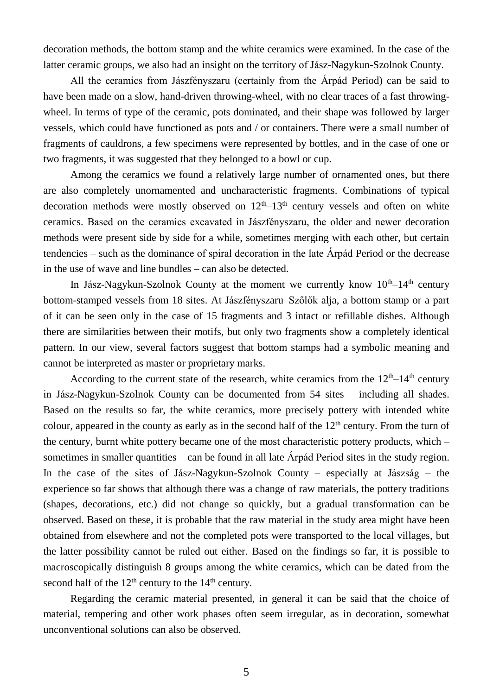decoration methods, the bottom stamp and the white ceramics were examined. In the case of the latter ceramic groups, we also had an insight on the territory of Jász-Nagykun-Szolnok County.

All the ceramics from Jászfényszaru (certainly from the Árpád Period) can be said to have been made on a slow, hand-driven throwing-wheel, with no clear traces of a fast throwingwheel. In terms of type of the ceramic, pots dominated, and their shape was followed by larger vessels, which could have functioned as pots and / or containers. There were a small number of fragments of cauldrons, a few specimens were represented by bottles, and in the case of one or two fragments, it was suggested that they belonged to a bowl or cup.

Among the ceramics we found a relatively large number of ornamented ones, but there are also completely unornamented and uncharacteristic fragments. Combinations of typical decoration methods were mostly observed on  $12<sup>th</sup>-13<sup>th</sup>$  century vessels and often on white ceramics. Based on the ceramics excavated in Jászfényszaru, the older and newer decoration methods were present side by side for a while, sometimes merging with each other, but certain tendencies – such as the dominance of spiral decoration in the late Árpád Period or the decrease in the use of wave and line bundles – can also be detected.

In Jász-Nagykun-Szolnok County at the moment we currently know  $10^{th}$ – $14^{th}$  century bottom-stamped vessels from 18 sites. At Jászfényszaru–Szőlők alja, a bottom stamp or a part of it can be seen only in the case of 15 fragments and 3 intact or refillable dishes. Although there are similarities between their motifs, but only two fragments show a completely identical pattern. In our view, several factors suggest that bottom stamps had a symbolic meaning and cannot be interpreted as master or proprietary marks.

According to the current state of the research, white ceramics from the  $12<sup>th</sup>-14<sup>th</sup>$  century in Jász-Nagykun-Szolnok County can be documented from 54 sites – including all shades. Based on the results so far, the white ceramics, more precisely pottery with intended white colour, appeared in the county as early as in the second half of the  $12<sup>th</sup>$  century. From the turn of the century, burnt white pottery became one of the most characteristic pottery products, which – sometimes in smaller quantities – can be found in all late Árpád Period sites in the study region. In the case of the sites of Jász-Nagykun-Szolnok County – especially at Jászság – the experience so far shows that although there was a change of raw materials, the pottery traditions (shapes, decorations, etc.) did not change so quickly, but a gradual transformation can be observed. Based on these, it is probable that the raw material in the study area might have been obtained from elsewhere and not the completed pots were transported to the local villages, but the latter possibility cannot be ruled out either. Based on the findings so far, it is possible to macroscopically distinguish 8 groups among the white ceramics, which can be dated from the second half of the  $12<sup>th</sup>$  century to the  $14<sup>th</sup>$  century.

Regarding the ceramic material presented, in general it can be said that the choice of material, tempering and other work phases often seem irregular, as in decoration, somewhat unconventional solutions can also be observed.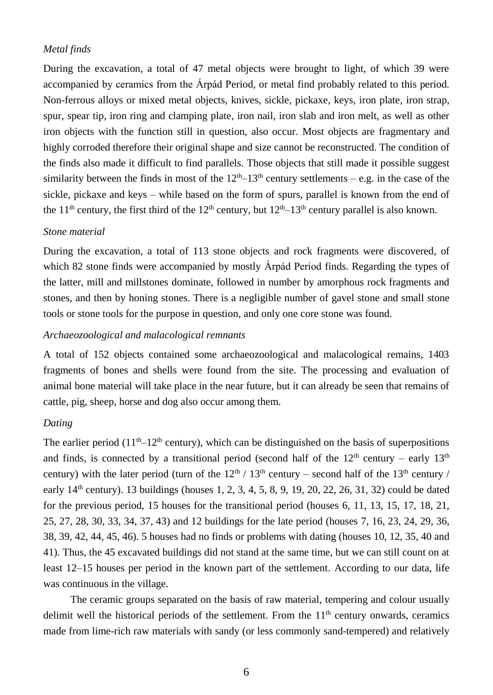## *Metal finds*

During the excavation, a total of 47 metal objects were brought to light, of which 39 were accompanied by ceramics from the Árpád Period, or metal find probably related to this period. Non-ferrous alloys or mixed metal objects, knives, sickle, pickaxe, keys, iron plate, iron strap, spur, spear tip, iron ring and clamping plate, iron nail, iron slab and iron melt, as well as other iron objects with the function still in question, also occur. Most objects are fragmentary and highly corroded therefore their original shape and size cannot be reconstructed. The condition of the finds also made it difficult to find parallels. Those objects that still made it possible suggest similarity between the finds in most of the  $12<sup>th</sup>-13<sup>th</sup>$  century settlements – e.g. in the case of the sickle, pickaxe and keys – while based on the form of spurs, parallel is known from the end of the 11<sup>th</sup> century, the first third of the 12<sup>th</sup> century, but  $12<sup>th</sup>-13<sup>th</sup>$  century parallel is also known.

## *Stone material*

During the excavation, a total of 113 stone objects and rock fragments were discovered, of which 82 stone finds were accompanied by mostly Árpád Period finds. Regarding the types of the latter, mill and millstones dominate, followed in number by amorphous rock fragments and stones, and then by honing stones. There is a negligible number of gavel stone and small stone tools or stone tools for the purpose in question, and only one core stone was found.

## *Archaeozoological and malacological remnants*

A total of 152 objects contained some archaeozoological and malacological remains, 1403 fragments of bones and shells were found from the site. The processing and evaluation of animal bone material will take place in the near future, but it can already be seen that remains of cattle, pig, sheep, horse and dog also occur among them.

#### *Dating*

The earlier period  $(11<sup>th</sup>-12<sup>th</sup>$  century), which can be distinguished on the basis of superpositions and finds, is connected by a transitional period (second half of the  $12<sup>th</sup>$  century – early  $13<sup>th</sup>$ century) with the later period (turn of the  $12<sup>th</sup> / 13<sup>th</sup>$  century – second half of the 13<sup>th</sup> century / early  $14<sup>th</sup>$  century). 13 buildings (houses 1, 2, 3, 4, 5, 8, 9, 19, 20, 22, 26, 31, 32) could be dated for the previous period, 15 houses for the transitional period (houses 6, 11, 13, 15, 17, 18, 21, 25, 27, 28, 30, 33, 34, 37, 43) and 12 buildings for the late period (houses 7, 16, 23, 24, 29, 36, 38, 39, 42, 44, 45, 46). 5 houses had no finds or problems with dating (houses 10, 12, 35, 40 and 41). Thus, the 45 excavated buildings did not stand at the same time, but we can still count on at least 12–15 houses per period in the known part of the settlement. According to our data, life was continuous in the village.

The ceramic groups separated on the basis of raw material, tempering and colour usually delimit well the historical periods of the settlement. From the  $11<sup>th</sup>$  century onwards, ceramics made from lime-rich raw materials with sandy (or less commonly sand-tempered) and relatively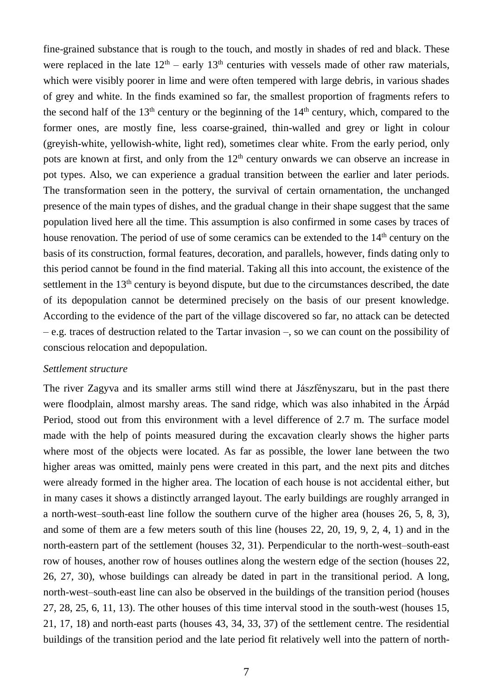fine-grained substance that is rough to the touch, and mostly in shades of red and black. These were replaced in the late  $12<sup>th</sup>$  – early  $13<sup>th</sup>$  centuries with vessels made of other raw materials, which were visibly poorer in lime and were often tempered with large debris, in various shades of grey and white. In the finds examined so far, the smallest proportion of fragments refers to the second half of the  $13<sup>th</sup>$  century or the beginning of the  $14<sup>th</sup>$  century, which, compared to the former ones, are mostly fine, less coarse-grained, thin-walled and grey or light in colour (greyish-white, yellowish-white, light red), sometimes clear white. From the early period, only pots are known at first, and only from the  $12<sup>th</sup>$  century onwards we can observe an increase in pot types. Also, we can experience a gradual transition between the earlier and later periods. The transformation seen in the pottery, the survival of certain ornamentation, the unchanged presence of the main types of dishes, and the gradual change in their shape suggest that the same population lived here all the time. This assumption is also confirmed in some cases by traces of house renovation. The period of use of some ceramics can be extended to the  $14<sup>th</sup>$  century on the basis of its construction, formal features, decoration, and parallels, however, finds dating only to this period cannot be found in the find material. Taking all this into account, the existence of the settlement in the  $13<sup>th</sup>$  century is beyond dispute, but due to the circumstances described, the date of its depopulation cannot be determined precisely on the basis of our present knowledge. According to the evidence of the part of the village discovered so far, no attack can be detected – e.g. traces of destruction related to the Tartar invasion –, so we can count on the possibility of conscious relocation and depopulation.

#### *Settlement structure*

The river Zagyva and its smaller arms still wind there at Jászfényszaru, but in the past there were floodplain, almost marshy areas. The sand ridge, which was also inhabited in the Árpád Period, stood out from this environment with a level difference of 2.7 m. The surface model made with the help of points measured during the excavation clearly shows the higher parts where most of the objects were located. As far as possible, the lower lane between the two higher areas was omitted, mainly pens were created in this part, and the next pits and ditches were already formed in the higher area. The location of each house is not accidental either, but in many cases it shows a distinctly arranged layout. The early buildings are roughly arranged in a north-west–south-east line follow the southern curve of the higher area (houses 26, 5, 8, 3), and some of them are a few meters south of this line (houses 22, 20, 19, 9, 2, 4, 1) and in the north-eastern part of the settlement (houses 32, 31). Perpendicular to the north-west–south-east row of houses, another row of houses outlines along the western edge of the section (houses 22, 26, 27, 30), whose buildings can already be dated in part in the transitional period. A long, north-west–south-east line can also be observed in the buildings of the transition period (houses 27, 28, 25, 6, 11, 13). The other houses of this time interval stood in the south-west (houses 15, 21, 17, 18) and north-east parts (houses 43, 34, 33, 37) of the settlement centre. The residential buildings of the transition period and the late period fit relatively well into the pattern of north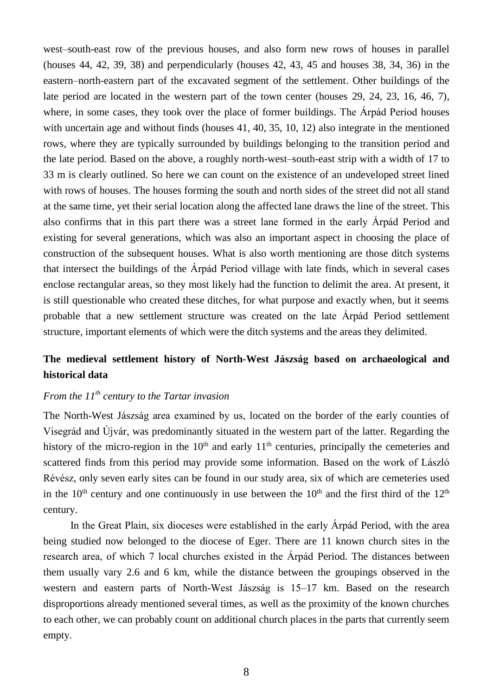west–south-east row of the previous houses, and also form new rows of houses in parallel (houses 44, 42, 39, 38) and perpendicularly (houses 42, 43, 45 and houses 38, 34, 36) in the eastern–north-eastern part of the excavated segment of the settlement. Other buildings of the late period are located in the western part of the town center (houses 29, 24, 23, 16, 46, 7), where, in some cases, they took over the place of former buildings. The Árpád Period houses with uncertain age and without finds (houses 41, 40, 35, 10, 12) also integrate in the mentioned rows, where they are typically surrounded by buildings belonging to the transition period and the late period. Based on the above, a roughly north-west–south-east strip with a width of 17 to 33 m is clearly outlined. So here we can count on the existence of an undeveloped street lined with rows of houses. The houses forming the south and north sides of the street did not all stand at the same time, yet their serial location along the affected lane draws the line of the street. This also confirms that in this part there was a street lane formed in the early Árpád Period and existing for several generations, which was also an important aspect in choosing the place of construction of the subsequent houses. What is also worth mentioning are those ditch systems that intersect the buildings of the Árpád Period village with late finds, which in several cases enclose rectangular areas, so they most likely had the function to delimit the area. At present, it is still questionable who created these ditches, for what purpose and exactly when, but it seems probable that a new settlement structure was created on the late Árpád Period settlement structure, important elements of which were the ditch systems and the areas they delimited.

## **The medieval settlement history of North-West Jászság based on archaeological and historical data**

## *From the 11th century to the Tartar invasion*

The North-West Jászság area examined by us, located on the border of the early counties of Visegrád and Újvár, was predominantly situated in the western part of the latter. Regarding the history of the micro-region in the  $10<sup>th</sup>$  and early  $11<sup>th</sup>$  centuries, principally the cemeteries and scattered finds from this period may provide some information. Based on the work of László Révész, only seven early sites can be found in our study area, six of which are cemeteries used in the  $10<sup>th</sup>$  century and one continuously in use between the  $10<sup>th</sup>$  and the first third of the  $12<sup>th</sup>$ century.

In the Great Plain, six dioceses were established in the early Árpád Period, with the area being studied now belonged to the diocese of Eger. There are 11 known church sites in the research area, of which 7 local churches existed in the Árpád Period. The distances between them usually vary 2.6 and 6 km, while the distance between the groupings observed in the western and eastern parts of North-West Jászság is 15–17 km. Based on the research disproportions already mentioned several times, as well as the proximity of the known churches to each other, we can probably count on additional church places in the parts that currently seem empty.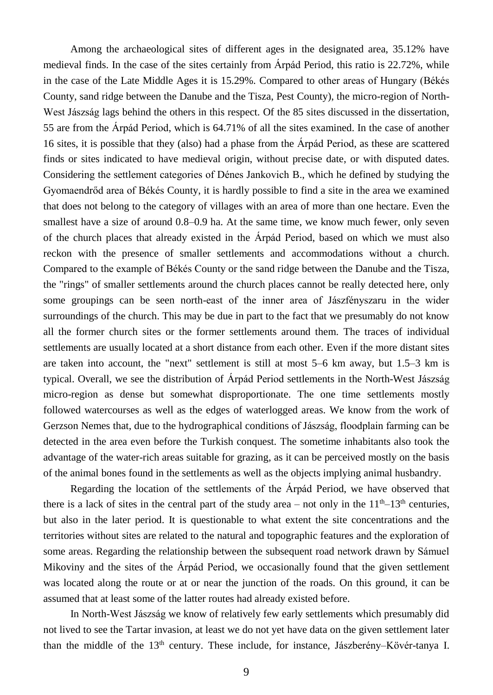Among the archaeological sites of different ages in the designated area, 35.12% have medieval finds. In the case of the sites certainly from Árpád Period, this ratio is 22.72%, while in the case of the Late Middle Ages it is 15.29%. Compared to other areas of Hungary (Békés County, sand ridge between the Danube and the Tisza, Pest County), the micro-region of North-West Jászság lags behind the others in this respect. Of the 85 sites discussed in the dissertation, 55 are from the Árpád Period, which is 64.71% of all the sites examined. In the case of another 16 sites, it is possible that they (also) had a phase from the Árpád Period, as these are scattered finds or sites indicated to have medieval origin, without precise date, or with disputed dates. Considering the settlement categories of Dénes Jankovich B., which he defined by studying the Gyomaendrőd area of Békés County, it is hardly possible to find a site in the area we examined that does not belong to the category of villages with an area of more than one hectare. Even the smallest have a size of around 0.8–0.9 ha. At the same time, we know much fewer, only seven of the church places that already existed in the Árpád Period, based on which we must also reckon with the presence of smaller settlements and accommodations without a church. Compared to the example of Békés County or the sand ridge between the Danube and the Tisza, the "rings" of smaller settlements around the church places cannot be really detected here, only some groupings can be seen north-east of the inner area of Jászfényszaru in the wider surroundings of the church. This may be due in part to the fact that we presumably do not know all the former church sites or the former settlements around them. The traces of individual settlements are usually located at a short distance from each other. Even if the more distant sites are taken into account, the "next" settlement is still at most 5–6 km away, but 1.5–3 km is typical. Overall, we see the distribution of Árpád Period settlements in the North-West Jászság micro-region as dense but somewhat disproportionate. The one time settlements mostly followed watercourses as well as the edges of waterlogged areas. We know from the work of Gerzson Nemes that, due to the hydrographical conditions of Jászság, floodplain farming can be detected in the area even before the Turkish conquest. The sometime inhabitants also took the advantage of the water-rich areas suitable for grazing, as it can be perceived mostly on the basis of the animal bones found in the settlements as well as the objects implying animal husbandry.

Regarding the location of the settlements of the Árpád Period, we have observed that there is a lack of sites in the central part of the study area – not only in the  $11<sup>th</sup>-13<sup>th</sup>$  centuries, but also in the later period. It is questionable to what extent the site concentrations and the territories without sites are related to the natural and topographic features and the exploration of some areas. Regarding the relationship between the subsequent road network drawn by Sámuel Mikoviny and the sites of the Árpád Period, we occasionally found that the given settlement was located along the route or at or near the junction of the roads. On this ground, it can be assumed that at least some of the latter routes had already existed before.

In North-West Jászság we know of relatively few early settlements which presumably did not lived to see the Tartar invasion, at least we do not yet have data on the given settlement later than the middle of the  $13<sup>th</sup>$  century. These include, for instance, Jászberény–Kövér-tanya I.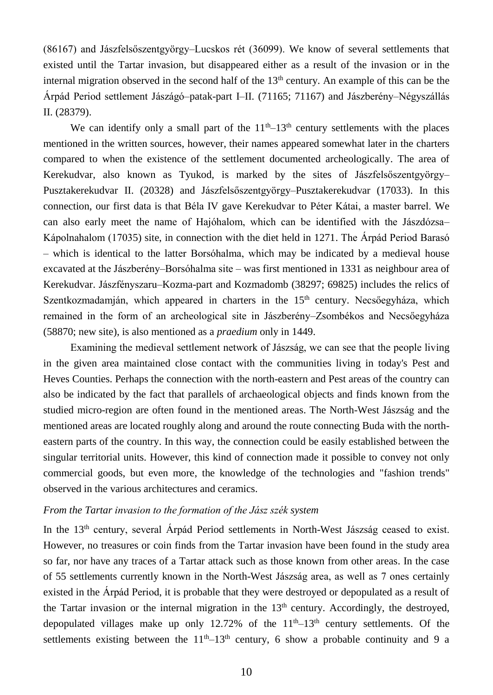(86167) and Jászfelsőszentgyörgy–Lucskos rét (36099). We know of several settlements that existed until the Tartar invasion, but disappeared either as a result of the invasion or in the internal migration observed in the second half of the  $13<sup>th</sup>$  century. An example of this can be the Árpád Period settlement Jászágó–patak-part I–II. (71165; 71167) and Jászberény–Négyszállás II. (28379).

We can identify only a small part of the  $11<sup>th</sup>-13<sup>th</sup>$  century settlements with the places mentioned in the written sources, however, their names appeared somewhat later in the charters compared to when the existence of the settlement documented archeologically. The area of Kerekudvar, also known as Tyukod, is marked by the sites of Jászfelsőszentgyörgy– Pusztakerekudvar II. (20328) and Jászfelsőszentgyörgy–Pusztakerekudvar (17033). In this connection, our first data is that Béla IV gave Kerekudvar to Péter Kátai, a master barrel. We can also early meet the name of Hajóhalom, which can be identified with the Jászdózsa– Kápolnahalom (17035) site, in connection with the diet held in 1271. The Árpád Period Barasó – which is identical to the latter Borsóhalma, which may be indicated by a medieval house excavated at the Jászberény–Borsóhalma site – was first mentioned in 1331 as neighbour area of Kerekudvar. Jászfényszaru–Kozma-part and Kozmadomb (38297; 69825) includes the relics of Szentkozmadamján, which appeared in charters in the  $15<sup>th</sup>$  century. Necsőegyháza, which remained in the form of an archeological site in Jászberény–Zsombékos and Necsőegyháza (58870; new site), is also mentioned as a *praedium* only in 1449.

Examining the medieval settlement network of Jászság, we can see that the people living in the given area maintained close contact with the communities living in today's Pest and Heves Counties. Perhaps the connection with the north-eastern and Pest areas of the country can also be indicated by the fact that parallels of archaeological objects and finds known from the studied micro-region are often found in the mentioned areas. The North-West Jászság and the mentioned areas are located roughly along and around the route connecting Buda with the northeastern parts of the country. In this way, the connection could be easily established between the singular territorial units. However, this kind of connection made it possible to convey not only commercial goods, but even more, the knowledge of the technologies and "fashion trends" observed in the various architectures and ceramics.

## *From the Tartar invasion to the formation of the Jász szék system*

In the  $13<sup>th</sup>$  century, several Árpád Period settlements in North-West Jászság ceased to exist. However, no treasures or coin finds from the Tartar invasion have been found in the study area so far, nor have any traces of a Tartar attack such as those known from other areas. In the case of 55 settlements currently known in the North-West Jászság area, as well as 7 ones certainly existed in the Árpád Period, it is probable that they were destroyed or depopulated as a result of the Tartar invasion or the internal migration in the  $13<sup>th</sup>$  century. Accordingly, the destroyed, depopulated villages make up only 12.72% of the  $11<sup>th</sup>-13<sup>th</sup>$  century settlements. Of the settlements existing between the  $11<sup>th</sup>-13<sup>th</sup>$  century, 6 show a probable continuity and 9 a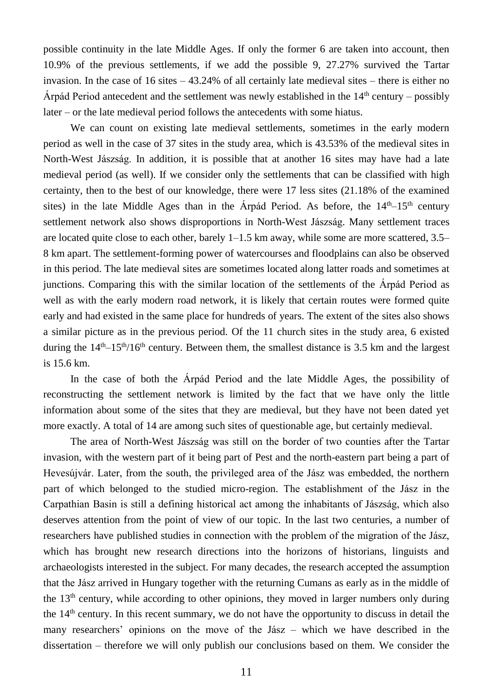possible continuity in the late Middle Ages. If only the former 6 are taken into account, then 10.9% of the previous settlements, if we add the possible 9, 27.27% survived the Tartar invasion. In the case of 16 sites  $-43.24\%$  of all certainly late medieval sites – there is either no Árpád Period antecedent and the settlement was newly established in the  $14<sup>th</sup>$  century – possibly later – or the late medieval period follows the antecedents with some hiatus.

We can count on existing late medieval settlements, sometimes in the early modern period as well in the case of 37 sites in the study area, which is 43.53% of the medieval sites in North-West Jászság. In addition, it is possible that at another 16 sites may have had a late medieval period (as well). If we consider only the settlements that can be classified with high certainty, then to the best of our knowledge, there were 17 less sites (21.18% of the examined sites) in the late Middle Ages than in the Árpád Period. As before, the  $14<sup>th</sup> - 15<sup>th</sup>$  century settlement network also shows disproportions in North-West Jászság. Many settlement traces are located quite close to each other, barely  $1-1.5$  km away, while some are more scattered, 3.5– 8 km apart. The settlement-forming power of watercourses and floodplains can also be observed in this period. The late medieval sites are sometimes located along latter roads and sometimes at junctions. Comparing this with the similar location of the settlements of the Árpád Period as well as with the early modern road network, it is likely that certain routes were formed quite early and had existed in the same place for hundreds of years. The extent of the sites also shows a similar picture as in the previous period. Of the 11 church sites in the study area, 6 existed during the  $14<sup>th</sup> – 15<sup>th</sup>/16<sup>th</sup>$  century. Between them, the smallest distance is 3.5 km and the largest is 15.6 km.

In the case of both the Árpád Period and the late Middle Ages, the possibility of reconstructing the settlement network is limited by the fact that we have only the little information about some of the sites that they are medieval, but they have not been dated yet more exactly. A total of 14 are among such sites of questionable age, but certainly medieval.

The area of North-West Jászság was still on the border of two counties after the Tartar invasion, with the western part of it being part of Pest and the north-eastern part being a part of Hevesújvár. Later, from the south, the privileged area of the Jász was embedded, the northern part of which belonged to the studied micro-region. The establishment of the Jász in the Carpathian Basin is still a defining historical act among the inhabitants of Jászság, which also deserves attention from the point of view of our topic. In the last two centuries, a number of researchers have published studies in connection with the problem of the migration of the Jász, which has brought new research directions into the horizons of historians, linguists and archaeologists interested in the subject. For many decades, the research accepted the assumption that the Jász arrived in Hungary together with the returning Cumans as early as in the middle of the 13<sup>th</sup> century, while according to other opinions, they moved in larger numbers only during the 14th century. In this recent summary, we do not have the opportunity to discuss in detail the many researchers' opinions on the move of the Jász – which we have described in the dissertation – therefore we will only publish our conclusions based on them. We consider the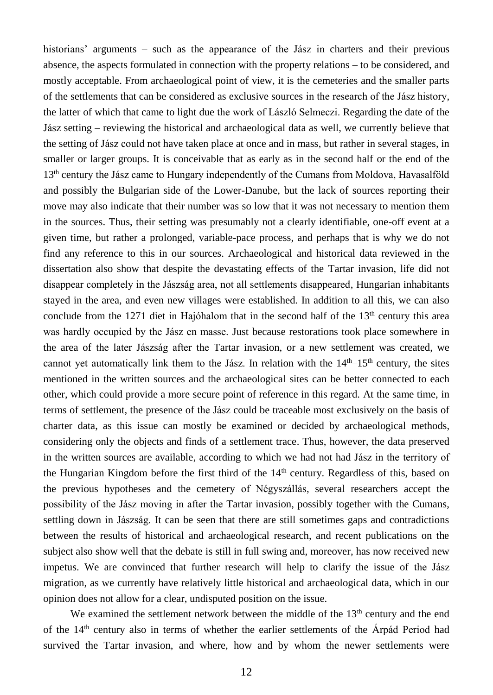historians' arguments – such as the appearance of the Jász in charters and their previous absence, the aspects formulated in connection with the property relations – to be considered, and mostly acceptable. From archaeological point of view, it is the cemeteries and the smaller parts of the settlements that can be considered as exclusive sources in the research of the Jász history, the latter of which that came to light due the work of László Selmeczi. Regarding the date of the Jász setting – reviewing the historical and archaeological data as well, we currently believe that the setting of Jász could not have taken place at once and in mass, but rather in several stages, in smaller or larger groups. It is conceivable that as early as in the second half or the end of the 13<sup>th</sup> century the Jász came to Hungary independently of the Cumans from Moldova, Havasalföld and possibly the Bulgarian side of the Lower-Danube, but the lack of sources reporting their move may also indicate that their number was so low that it was not necessary to mention them in the sources. Thus, their setting was presumably not a clearly identifiable, one-off event at a given time, but rather a prolonged, variable-pace process, and perhaps that is why we do not find any reference to this in our sources. Archaeological and historical data reviewed in the dissertation also show that despite the devastating effects of the Tartar invasion, life did not disappear completely in the Jászság area, not all settlements disappeared, Hungarian inhabitants stayed in the area, and even new villages were established. In addition to all this, we can also conclude from the 1271 diet in Hajóhalom that in the second half of the  $13<sup>th</sup>$  century this area was hardly occupied by the Jász en masse. Just because restorations took place somewhere in the area of the later Jászság after the Tartar invasion, or a new settlement was created, we cannot yet automatically link them to the Jász. In relation with the  $14<sup>th</sup>-15<sup>th</sup>$  century, the sites mentioned in the written sources and the archaeological sites can be better connected to each other, which could provide a more secure point of reference in this regard. At the same time, in terms of settlement, the presence of the Jász could be traceable most exclusively on the basis of charter data, as this issue can mostly be examined or decided by archaeological methods, considering only the objects and finds of a settlement trace. Thus, however, the data preserved in the written sources are available, according to which we had not had Jász in the territory of the Hungarian Kingdom before the first third of the 14<sup>th</sup> century. Regardless of this, based on the previous hypotheses and the cemetery of Négyszállás, several researchers accept the possibility of the Jász moving in after the Tartar invasion, possibly together with the Cumans, settling down in Jászság. It can be seen that there are still sometimes gaps and contradictions between the results of historical and archaeological research, and recent publications on the subject also show well that the debate is still in full swing and, moreover, has now received new impetus. We are convinced that further research will help to clarify the issue of the Jász migration, as we currently have relatively little historical and archaeological data, which in our opinion does not allow for a clear, undisputed position on the issue.

We examined the settlement network between the middle of the 13<sup>th</sup> century and the end of the  $14<sup>th</sup>$  century also in terms of whether the earlier settlements of the Árpád Period had survived the Tartar invasion, and where, how and by whom the newer settlements were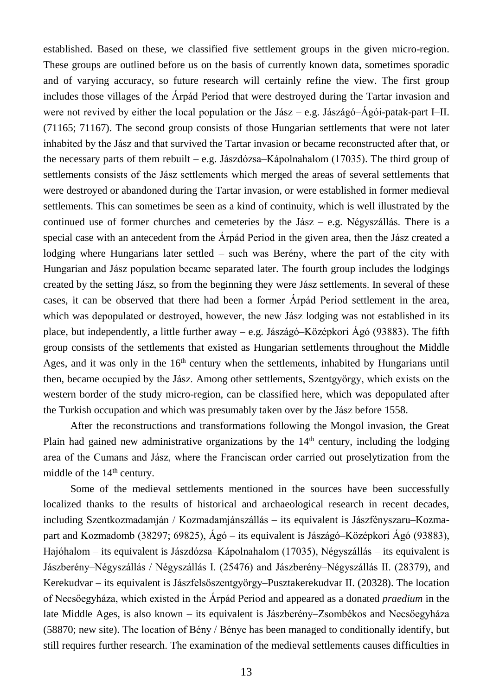established. Based on these, we classified five settlement groups in the given micro-region. These groups are outlined before us on the basis of currently known data, sometimes sporadic and of varying accuracy, so future research will certainly refine the view. The first group includes those villages of the Árpád Period that were destroyed during the Tartar invasion and were not revived by either the local population or the Jász – e.g. Jászágó–Ágói-patak-part I–II. (71165; 71167). The second group consists of those Hungarian settlements that were not later inhabited by the Jász and that survived the Tartar invasion or became reconstructed after that, or the necessary parts of them rebuilt – e.g. Jászdózsa–Kápolnahalom (17035). The third group of settlements consists of the Jász settlements which merged the areas of several settlements that were destroyed or abandoned during the Tartar invasion, or were established in former medieval settlements. This can sometimes be seen as a kind of continuity, which is well illustrated by the continued use of former churches and cemeteries by the Jász – e.g. Négyszállás. There is a special case with an antecedent from the Árpád Period in the given area, then the Jász created a lodging where Hungarians later settled – such was Berény, where the part of the city with Hungarian and Jász population became separated later. The fourth group includes the lodgings created by the setting Jász, so from the beginning they were Jász settlements. In several of these cases, it can be observed that there had been a former Árpád Period settlement in the area, which was depopulated or destroyed, however, the new Jász lodging was not established in its place, but independently, a little further away – e.g. Jászágó–Középkori Ágó (93883). The fifth group consists of the settlements that existed as Hungarian settlements throughout the Middle Ages, and it was only in the  $16<sup>th</sup>$  century when the settlements, inhabited by Hungarians until then, became occupied by the Jász. Among other settlements, Szentgyörgy, which exists on the western border of the study micro-region, can be classified here, which was depopulated after the Turkish occupation and which was presumably taken over by the Jász before 1558.

After the reconstructions and transformations following the Mongol invasion, the Great Plain had gained new administrative organizations by the  $14<sup>th</sup>$  century, including the lodging area of the Cumans and Jász, where the Franciscan order carried out proselytization from the middle of the  $14<sup>th</sup>$  century.

Some of the medieval settlements mentioned in the sources have been successfully localized thanks to the results of historical and archaeological research in recent decades, including Szentkozmadamján / Kozmadamjánszállás – its equivalent is Jászfényszaru–Kozmapart and Kozmadomb (38297; 69825), Ágó – its equivalent is Jászágó–Középkori Ágó (93883), Hajóhalom – its equivalent is Jászdózsa–Kápolnahalom (17035), Négyszállás – its equivalent is Jászberény–Négyszállás / Négyszállás I. (25476) and Jászberény–Négyszállás II. (28379), and Kerekudvar – its equivalent is Jászfelsőszentgyörgy–Pusztakerekudvar II. (20328). The location of Necsőegyháza, which existed in the Árpád Period and appeared as a donated *praedium* in the late Middle Ages, is also known – its equivalent is Jászberény–Zsombékos and Necsőegyháza (58870; new site). The location of Bény / Bénye has been managed to conditionally identify, but still requires further research. The examination of the medieval settlements causes difficulties in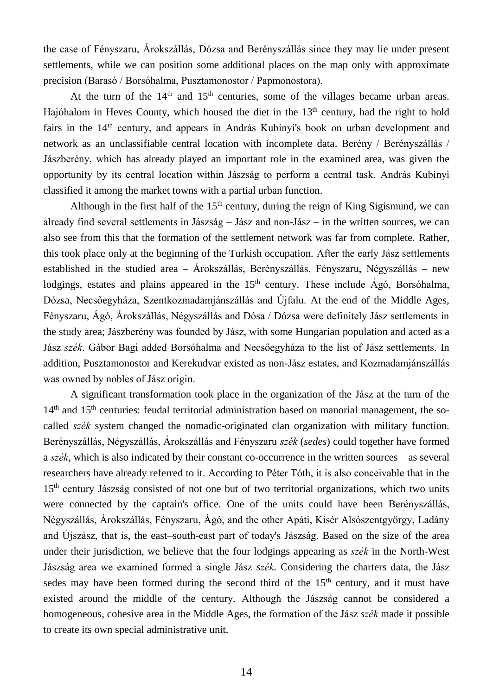the case of Fényszaru, Árokszállás, Dózsa and Berényszállás since they may lie under present settlements, while we can position some additional places on the map only with approximate precision (Barasó / Borsóhalma, Pusztamonostor / Papmonostora).

At the turn of the  $14<sup>th</sup>$  and  $15<sup>th</sup>$  centuries, some of the villages became urban areas. Hajóhalom in Heves County, which housed the diet in the  $13<sup>th</sup>$  century, had the right to hold fairs in the 14th century, and appears in András Kubinyi's book on urban development and network as an unclassifiable central location with incomplete data. Berény / Berényszállás / Jászberény, which has already played an important role in the examined area, was given the opportunity by its central location within Jászság to perform a central task. András Kubinyi classified it among the market towns with a partial urban function.

Although in the first half of the  $15<sup>th</sup>$  century, during the reign of King Sigismund, we can already find several settlements in Jászság – Jász and non-Jász – in the written sources, we can also see from this that the formation of the settlement network was far from complete. Rather, this took place only at the beginning of the Turkish occupation. After the early Jász settlements established in the studied area – Árokszállás, Berényszállás, Fényszaru, Négyszállás – new lodgings, estates and plains appeared in the  $15<sup>th</sup>$  century. These include  $\angle$  Agó, Borsóhalma, Dózsa, Necsőegyháza, Szentkozmadamjánszállás and Újfalu. At the end of the Middle Ages, Fényszaru, Ágó, Árokszállás, Négyszállás and Dósa / Dózsa were definitely Jász settlements in the study area; Jászberény was founded by Jász, with some Hungarian population and acted as a Jász *szék*. Gábor Bagi added Borsóhalma and Necsőegyháza to the list of Jász settlements. In addition, Pusztamonostor and Kerekudvar existed as non-Jász estates, and Kozmadamjánszállás was owned by nobles of Jász origin.

A significant transformation took place in the organization of the Jász at the turn of the  $14<sup>th</sup>$  and  $15<sup>th</sup>$  centuries: feudal territorial administration based on manorial management, the socalled *szék* system changed the nomadic-originated clan organization with military function. Berényszállás, Négyszállás, Árokszállás and Fényszaru *szék* (*sedes*) could together have formed a *szék*, which is also indicated by their constant co-occurrence in the written sources – as several researchers have already referred to it. According to Péter Tóth, it is also conceivable that in the  $15<sup>th</sup>$  century Jászság consisted of not one but of two territorial organizations, which two units were connected by the captain's office. One of the units could have been Berényszállás, Négyszállás, Árokszállás, Fényszaru, Ágó, and the other Apáti, Kisér Alsószentgyörgy, Ladány and Újszász, that is, the east–south-east part of today's Jászság. Based on the size of the area under their jurisdiction, we believe that the four lodgings appearing as *szék* in the North-West Jászság area we examined formed a single Jász *szék*. Considering the charters data, the Jász sedes may have been formed during the second third of the  $15<sup>th</sup>$  century, and it must have existed around the middle of the century. Although the Jászság cannot be considered a homogeneous, cohesive area in the Middle Ages, the formation of the Jász *szék* made it possible to create its own special administrative unit.